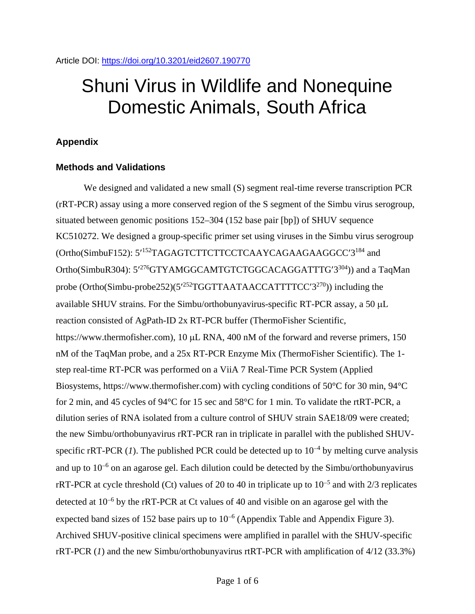## Shuni Virus in Wildlife and Nonequine Domestic Animals, South Africa

## **Appendix**

## **Methods and Validations**

We designed and validated a new small (S) segment real-time reverse transcription PCR (rRT-PCR) assay using a more conserved region of the S segment of the Simbu virus serogroup, situated between genomic positions 152–304 (152 base pair [bp]) of SHUV sequence KC510272. We designed a group-specific primer set using viruses in the Simbu virus serogroup (Ortho(SimbuF152): 5'<sup>152</sup>TAGAGTCTTCTTCCTCAAYCAGAAGAAGGCC'3<sup>184</sup> and Ortho(SimbuR304): 5<sup>'276</sup>GTYAMGGCAMTGTCTGGCACAGGATTTG'3<sup>304</sup>)) and a TaqMan probe (Ortho(Simbu-probe252)(5<sup>'252</sup>TGGTTAATAACCATTTTCC'3<sup>270</sup>)) including the available SHUV strains. For the Simbu/orthobunyavirus-specific RT-PCR assay, a 50 µL reaction consisted of AgPath-ID 2x RT-PCR buffer (ThermoFisher Scientific, https://www.thermofisher.com), 10 µL RNA, 400 nM of the forward and reverse primers, 150 nM of the TaqMan probe, and a 25x RT-PCR Enzyme Mix (ThermoFisher Scientific). The 1 step real-time RT-PCR was performed on a ViiA 7 Real-Time PCR System (Applied Biosystems, https://www.thermofisher.com) with cycling conditions of 50°C for 30 min, 94°C for 2 min, and 45 cycles of 94°C for 15 sec and 58°C for 1 min. To validate the rtRT-PCR, a dilution series of RNA isolated from a culture control of SHUV strain SAE18/09 were created; the new Simbu/orthobunyavirus rRT-PCR ran in triplicate in parallel with the published SHUVspecific rRT-PCR (*1*). The published PCR could be detected up to  $10^{-4}$  by melting curve analysis and up to 10<sup>−</sup><sup>6</sup> on an agarose gel. Each dilution could be detected by the Simbu/orthobunyavirus rRT-PCR at cycle threshold (Ct) values of 20 to 40 in triplicate up to 10<sup>−</sup><sup>5</sup> and with 2/3 replicates detected at 10<sup>−</sup><sup>6</sup> by the rRT-PCR at Ct values of 40 and visible on an agarose gel with the expected band sizes of 152 base pairs up to  $10^{-6}$  (Appendix Table and Appendix Figure 3). Archived SHUV-positive clinical specimens were amplified in parallel with the SHUV-specific rRT-PCR (*1*) and the new Simbu/orthobunyavirus rtRT-PCR with amplification of 4/12 (33.3%)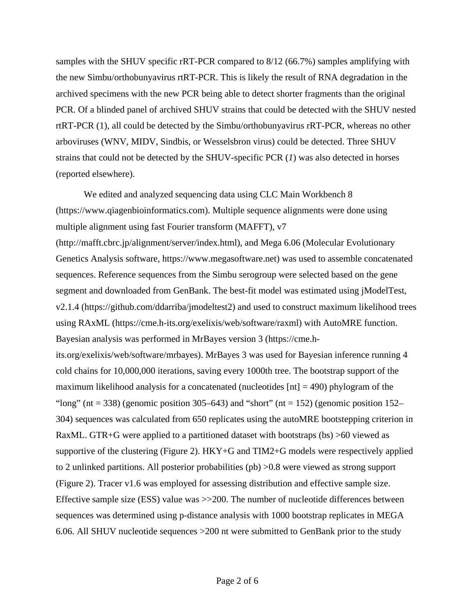samples with the SHUV specific rRT-PCR compared to 8/12 (66.7%) samples amplifying with the new Simbu/orthobunyavirus rtRT-PCR. This is likely the result of RNA degradation in the archived specimens with the new PCR being able to detect shorter fragments than the original PCR. Of a blinded panel of archived SHUV strains that could be detected with the SHUV nested rtRT-PCR (1), all could be detected by the Simbu/orthobunyavirus rRT-PCR, whereas no other arboviruses (WNV, MIDV, Sindbis, or Wesselsbron virus) could be detected. Three SHUV strains that could not be detected by the SHUV-specific PCR (*1*) was also detected in horses (reported elsewhere).

We edited and analyzed sequencing data using CLC Main Workbench 8 (https://www.qiagenbioinformatics.com). Multiple sequence alignments were done using multiple alignment using fast Fourier transform (MAFFT), v7

(http://mafft.cbrc.jp/alignment/server/index.html), and Mega 6.06 (Molecular Evolutionary Genetics Analysis software*,* https://www.megasoftware.net) was used to assemble concatenated sequences. Reference sequences from the Simbu serogroup were selected based on the gene segment and downloaded from GenBank. The best-fit model was estimated using jModelTest, v2.1.4 (https://github.com/ddarriba/jmodeltest2) and used to construct maximum likelihood trees using RAxML (https://cme.h-its.org/exelixis/web/software/raxml) with AutoMRE function. Bayesian analysis was performed in MrBayes version 3 (https://cme.h-

its.org/exelixis/web/software/mrbayes). MrBayes 3 was used for Bayesian inference running 4 cold chains for 10,000,000 iterations, saving every 1000th tree. The bootstrap support of the maximum likelihood analysis for a concatenated (nucleotides  $[nt] = 490$ ) phylogram of the "long" (nt = 338) (genomic position 305–643) and "short" (nt = 152) (genomic position 152– 304) sequences was calculated from 650 replicates using the autoMRE bootstepping criterion in RaxML. GTR+G were applied to a partitioned dataset with bootstraps (bs) >60 viewed as supportive of the clustering (Figure 2). HKY+G and TIM2+G models were respectively applied to 2 unlinked partitions. All posterior probabilities (pb) >0.8 were viewed as strong support (Figure 2). Tracer v1.6 was employed for assessing distribution and effective sample size. Effective sample size (ESS) value was >>200. The number of nucleotide differences between sequences was determined using p-distance analysis with 1000 bootstrap replicates in MEGA 6.06. All SHUV nucleotide sequences >200 nt were submitted to GenBank prior to the study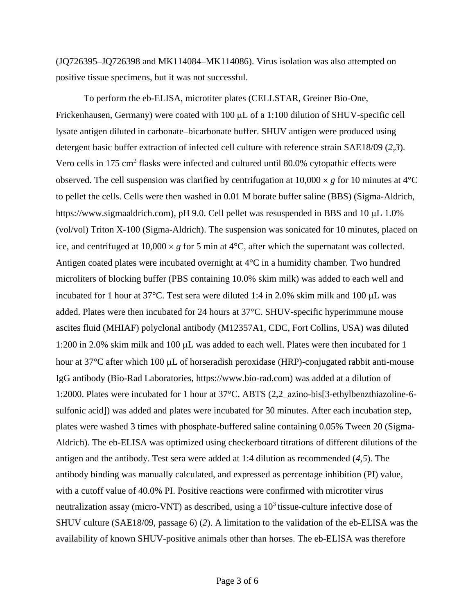(JQ726395–JQ726398 and MK114084–MK114086). Virus isolation was also attempted on positive tissue specimens, but it was not successful.

To perform the eb-ELISA, microtiter plates (CELLSTAR, Greiner Bio-One, Frickenhausen, Germany) were coated with 100 µL of a 1:100 dilution of SHUV-specific cell lysate antigen diluted in carbonate–bicarbonate buffer. SHUV antigen were produced using detergent basic buffer extraction of infected cell culture with reference strain SAE18/09 (*2,3*). Vero cells in 175 cm<sup>2</sup> flasks were infected and cultured until 80.0% cytopathic effects were observed. The cell suspension was clarified by centrifugation at  $10,000 \times g$  for 10 minutes at 4<sup>o</sup>C to pellet the cells. Cells were then washed in 0.01 M borate buffer saline (BBS) (Sigma-Aldrich, https://www.sigmaaldrich.com), pH 9.0. Cell pellet was resuspended in BBS and 10 µL 1.0% (vol/vol) Triton X-100 (Sigma-Aldrich). The suspension was sonicated for 10 minutes, placed on ice, and centrifuged at  $10,000 \times g$  for 5 min at 4<sup>o</sup>C, after which the supernatant was collected. Antigen coated plates were incubated overnight at 4°C in a humidity chamber. Two hundred microliters of blocking buffer (PBS containing 10.0% skim milk) was added to each well and incubated for 1 hour at 37 $^{\circ}$ C. Test sera were diluted 1:4 in 2.0% skim milk and 100  $\mu$ L was added. Plates were then incubated for 24 hours at 37°C. SHUV-specific hyperimmune mouse ascites fluid (MHIAF) polyclonal antibody (M12357A1, CDC, Fort Collins, USA) was diluted 1:200 in 2.0% skim milk and 100 µL was added to each well. Plates were then incubated for 1 hour at 37°C after which 100 µL of horseradish peroxidase (HRP)-conjugated rabbit anti-mouse IgG antibody (Bio-Rad Laboratories, https://www.bio-rad.com) was added at a dilution of 1:2000. Plates were incubated for 1 hour at 37°C. ABTS (2,2\_azino-bis[3-ethylbenzthiazoline-6 sulfonic acid]) was added and plates were incubated for 30 minutes. After each incubation step, plates were washed 3 times with phosphate-buffered saline containing 0.05% Tween 20 (Sigma-Aldrich). The eb-ELISA was optimized using checkerboard titrations of different dilutions of the antigen and the antibody. Test sera were added at 1:4 dilution as recommended (*4,5*). The antibody binding was manually calculated, and expressed as percentage inhibition (PI) value, with a cutoff value of 40.0% PI. Positive reactions were confirmed with microtiter virus neutralization assay (micro-VNT) as described, using a  $10<sup>3</sup>$  tissue-culture infective dose of SHUV culture (SAE18/09, passage 6) (*2*). A limitation to the validation of the eb-ELISA was the availability of known SHUV-positive animals other than horses. The eb-ELISA was therefore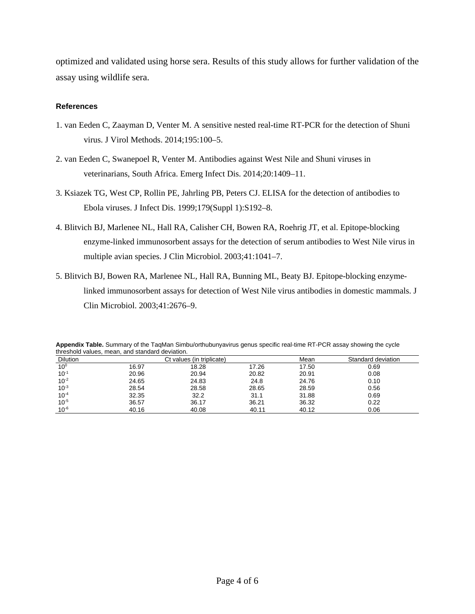optimized and validated using horse sera. Results of this study allows for further validation of the assay using wildlife sera.

## **References**

- 1. van Eeden C, Zaayman D, Venter M. A sensitive nested real-time RT-PCR for the detection of Shuni virus. J Virol Methods. 2014;195:100–5.
- 2. van Eeden C, Swanepoel R, Venter M. Antibodies against West Nile and Shuni viruses in veterinarians, South Africa. Emerg Infect Dis. 2014;20:1409–11.
- 3. Ksiazek TG, West CP, Rollin PE, Jahrling PB, Peters CJ. ELISA for the detection of antibodies to Ebola viruses. J Infect Dis. 1999;179(Suppl 1):S192–8.
- 4. Blitvich BJ, Marlenee NL, Hall RA, Calisher CH, Bowen RA, Roehrig JT, et al. Epitope-blocking enzyme-linked immunosorbent assays for the detection of serum antibodies to West Nile virus in multiple avian species. J Clin Microbiol. 2003;41:1041–7.
- 5. Blitvich BJ, Bowen RA, Marlenee NL, Hall RA, Bunning ML, Beaty BJ. Epitope-blocking enzymelinked immunosorbent assays for detection of West Nile virus antibodies in domestic mammals. J Clin Microbiol. 2003;41:2676–9.

| Appendix Table. Summary of the TagMan Simbu/orthubunyavirus genus specific real-time RT-PCR assay showing the cycle |  |
|---------------------------------------------------------------------------------------------------------------------|--|
| threshold values, mean, and standard deviation.                                                                     |  |

| <b>Dilution</b> | Ct values (in triplicate) |       |       | Mean  | Standard deviation |
|-----------------|---------------------------|-------|-------|-------|--------------------|
| 10 <sup>0</sup> | 16.97                     | 18.28 | 17.26 | 17.50 | 0.69               |
| $10^{-1}$       | 20.96                     | 20.94 | 20.82 | 20.91 | 0.08               |
| $10^{-2}$       | 24.65                     | 24.83 | 24.8  | 24.76 | 0.10               |
| $10^{-3}$       | 28.54                     | 28.58 | 28.65 | 28.59 | 0.56               |
| $10^{-4}$       | 32.35                     | 32.2  | 31.1  | 31.88 | 0.69               |
| $10^{-5}$       | 36.57                     | 36.17 | 36.21 | 36.32 | 0.22               |
| $10^{-6}$       | 40.16                     | 40.08 | 40.11 | 40.12 | 0.06               |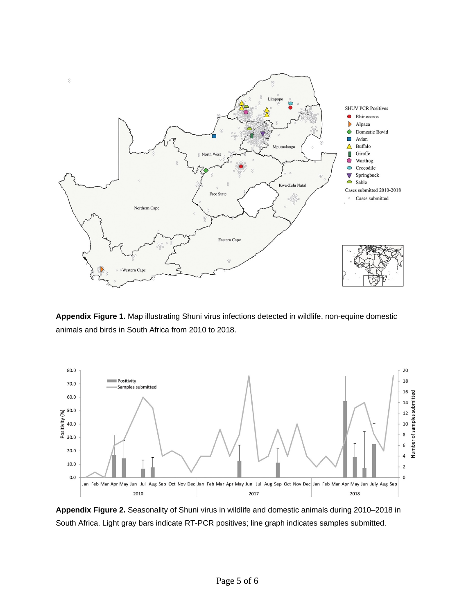

**Appendix Figure 1.** Map illustrating Shuni virus infections detected in wildlife, non-equine domestic animals and birds in South Africa from 2010 to 2018.



**Appendix Figure 2.** Seasonality of Shuni virus in wildlife and domestic animals during 2010–2018 in South Africa. Light gray bars indicate RT-PCR positives; line graph indicates samples submitted.